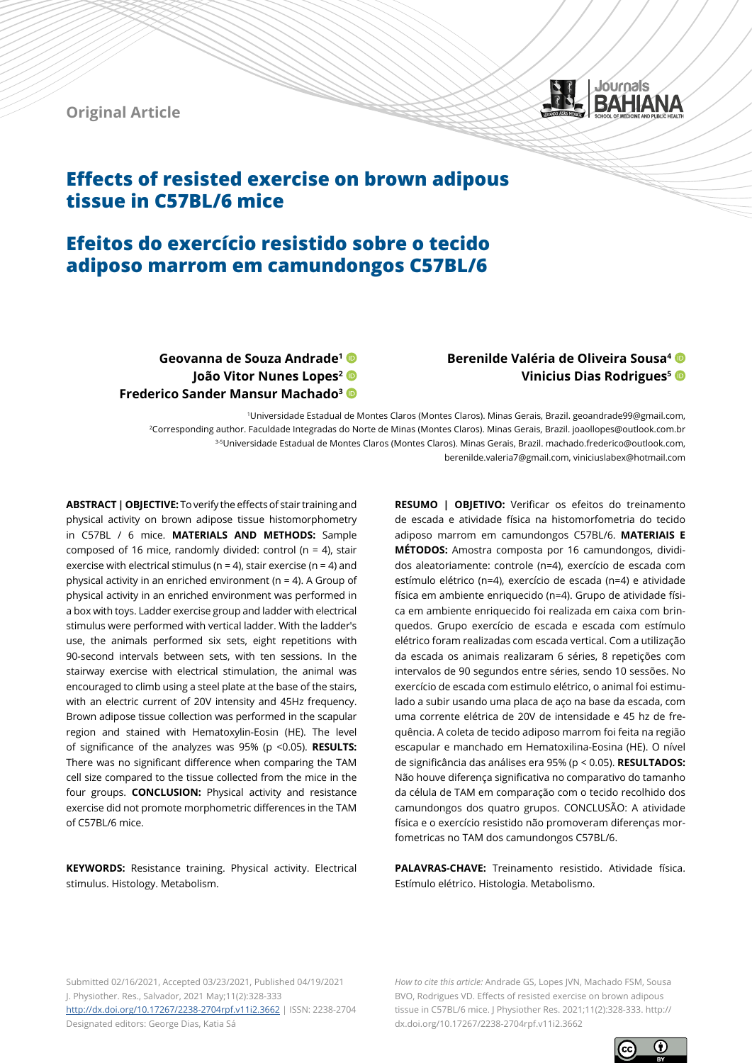

## **Original Article**

# **Effects of resisted exercise on brown adipous tissue in C57BL/6 mice**

## **Efeitos do exercício resistido sobre o tecido adiposo marrom em camundongos C57BL/6**

## **Berenilde Valéria de Oliveira Sousa4 Vinicius Dias Rodrigues<sup>5</sup>**

- **Geovanna de Souza Andrade1** João Vitor Nunes Lopes<sup>2</sup><sup>®</sup>
- **Frederico Sander Mansur Machado3**

1Universidade Estadual de Montes Claros (Montes Claros). Minas Gerais, Brazil. geoandrade99@gmail.com, 2Corresponding author. Faculdade Integradas do Norte de Minas (Montes Claros). Minas Gerais, Brazil. joaollopes@outlook.com.br 3-5Universidade Estadual de Montes Claros (Montes Claros). Minas Gerais, Brazil. machado.frederico@outlook.com, berenilde.valeria7@gmail.com, viniciuslabex@hotmail.com

**ABSTRACT | OBJECTIVE:** To verify the effects of stair training and physical activity on brown adipose tissue histomorphometry in C57BL / 6 mice. **MATERIALS AND METHODS:** Sample composed of 16 mice, randomly divided: control (n = 4), stair exercise with electrical stimulus ( $n = 4$ ), stair exercise ( $n = 4$ ) and physical activity in an enriched environment ( $n = 4$ ). A Group of physical activity in an enriched environment was performed in a box with toys. Ladder exercise group and ladder with electrical stimulus were performed with vertical ladder. With the ladder's use, the animals performed six sets, eight repetitions with 90-second intervals between sets, with ten sessions. In the stairway exercise with electrical stimulation, the animal was encouraged to climb using a steel plate at the base of the stairs, with an electric current of 20V intensity and 45Hz frequency. Brown adipose tissue collection was performed in the scapular region and stained with Hematoxylin-Eosin (HE). The level of significance of the analyzes was 95% (p <0.05). **RESULTS:**  There was no significant difference when comparing the TAM cell size compared to the tissue collected from the mice in the four groups. **CONCLUSION:** Physical activity and resistance exercise did not promote morphometric differences in the TAM of C57BL/6 mice.

**KEYWORDS:** Resistance training. Physical activity. Electrical stimulus. Histology. Metabolism.

**RESUMO | OBJETIVO:** Verificar os efeitos do treinamento de escada e atividade física na histomorfometria do tecido adiposo marrom em camundongos C57BL/6. **MATERIAIS E MÉTODOS:** Amostra composta por 16 camundongos, divididos aleatoriamente: controle (n=4), exercício de escada com estímulo elétrico (n=4), exercício de escada (n=4) e atividade física em ambiente enriquecido (n=4). Grupo de atividade física em ambiente enriquecido foi realizada em caixa com brinquedos. Grupo exercício de escada e escada com estímulo elétrico foram realizadas com escada vertical. Com a utilização da escada os animais realizaram 6 séries, 8 repetições com intervalos de 90 segundos entre séries, sendo 10 sessões. No exercício de escada com estimulo elétrico, o animal foi estimulado a subir usando uma placa de aço na base da escada, com uma corrente elétrica de 20V de intensidade e 45 hz de frequência. A coleta de tecido adiposo marrom foi feita na região escapular e manchado em Hematoxilina-Eosina (HE). O nível de significância das análises era 95% (p < 0.05). **RESULTADOS:**  Não houve diferença significativa no comparativo do tamanho da célula de TAM em comparação com o tecido recolhido dos camundongos dos quatro grupos. CONCLUSÃO: A atividade física e o exercício resistido não promoveram diferenças morfometricas no TAM dos camundongos C57BL/6.

**PALAVRAS-CHAVE:** Treinamento resistido. Atividade física. Estímulo elétrico. Histologia. Metabolismo.

Submitted 02/16/2021, Accepted 03/23/2021, Published 04/19/2021 J. Physiother. Res., Salvador, 2021 May;11(2):328-333 <http://dx.doi.org/10.17267/2238-2704rpf.v11i2.3662> | ISSN: 2238-2704 Designated editors: George Dias, Katia Sá

*How to cite this article:* Andrade GS, Lopes JVN, Machado FSM, Sousa BVO, Rodrigues VD. Effects of resisted exercise on brown adipous tissue in C57BL/6 mice. J Physiother Res. 2021;11(2):328-333. http:// dx.doi.org/10.17267/2238-2704rpf.v11i2.3662

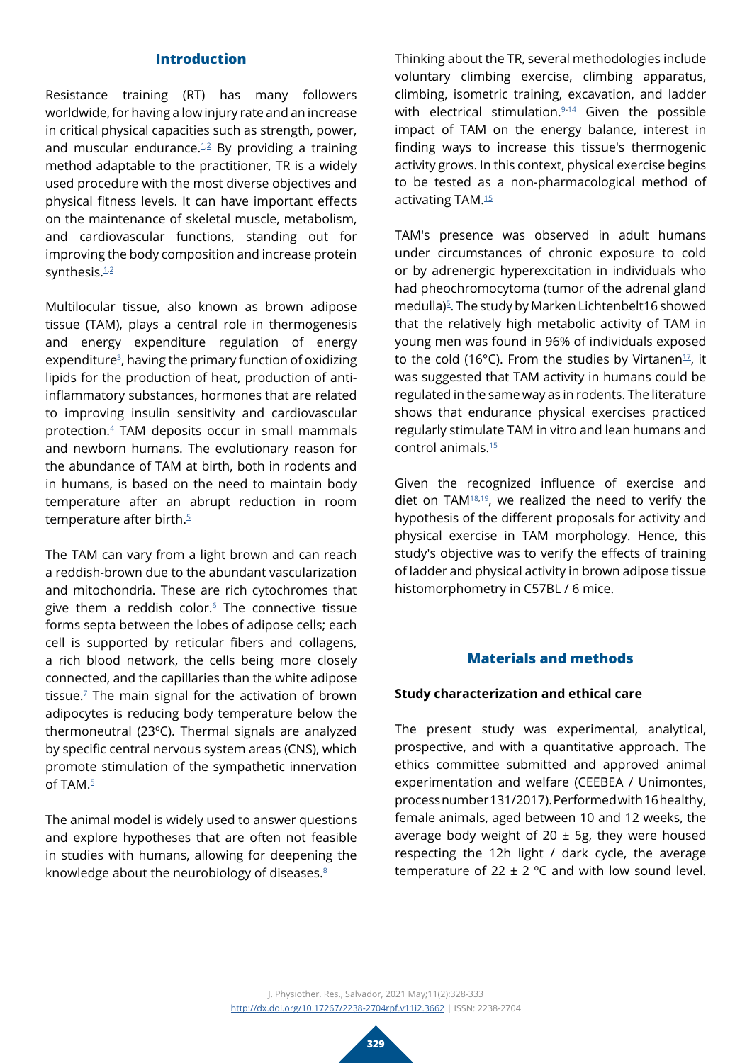## **Introduction**

Resistance training (RT) has many followers worldwide, for having a low injury rate and an increase in critical physical capacities such as strength, power, and muscular endurance. $1/2$  $1/2$  By providing a training method adaptable to the practitioner, TR is a widely used procedure with the most diverse objectives and physical fitness levels. It can have important effects on the maintenance of skeletal muscle, metabolism, and cardiovascular functions, standing out for improving the body composition and increase protein synthesis.<sup>[1](#page-4-0),[2](#page-4-1)</sup>

Multilocular tissue, also known as brown adipose tissue (TAM), plays a central role in thermogenesis and energy expenditure regulation of energy expenditure<sup>[3](#page-4-2)</sup>, having the primary function of oxidizing lipids for the production of heat, production of antiinflammatory substances, hormones that are related to improving insulin sensitivity and cardiovascular protection[.4](#page-4-3) TAM deposits occur in small mammals and newborn humans. The evolutionary reason for the abundance of TAM at birth, both in rodents and in humans, is based on the need to maintain body temperature after an abrupt reduction in room temperature after birth. $5$ 

The TAM can vary from a light brown and can reach a reddish-brown due to the abundant vascularization and mitochondria. These are rich cytochromes that give them a reddish color.<sup>6</sup> The connective tissue forms septa between the lobes of adipose cells; each cell is supported by reticular fibers and collagens, a rich blood network, the cells being more closely connected, and the capillaries than the white adipose tissue[.7](#page-4-6) The main signal for the activation of brown adipocytes is reducing body temperature below the thermoneutral (23ºC). Thermal signals are analyzed by specific central nervous system areas (CNS), which promote stimulation of the sympathetic innervation of TAM. $\frac{5}{5}$  $\frac{5}{5}$  $\frac{5}{5}$ 

The animal model is widely used to answer questions and explore hypotheses that are often not feasible in studies with humans, allowing for deepening the knowledge about the neurobiology of diseases.<sup>[8](#page-4-7)</sup>

Thinking about the TR, several methodologies include voluntary climbing exercise, climbing apparatus, climbing, isometric training, excavation, and ladder with electrical stimulation. $9-14$  $9-14$  Given the possible impact of TAM on the energy balance, interest in finding ways to increase this tissue's thermogenic activity grows. In this context, physical exercise begins to be tested as a non-pharmacological method of activating TAM[.15](#page-4-10)

TAM's presence was observed in adult humans under circumstances of chronic exposure to cold or by adrenergic hyperexcitation in individuals who had pheochromocytoma (tumor of the adrenal gland medulla)<sup>5</sup>. The study by Marken Lichtenbelt16 showed that the relatively high metabolic activity of TAM in young men was found in 96% of individuals exposed to the cold (16°C). From the studies by Virtanen<sup>17</sup>, it was suggested that TAM activity in humans could be regulated in the same way as in rodents. The literature shows that endurance physical exercises practiced regularly stimulate TAM in vitro and lean humans and control animals[.15](#page-4-10)

Given the recognized influence of exercise and diet on TA[M18](#page-5-1)[,19,](#page-5-2) we realized the need to verify the hypothesis of the different proposals for activity and physical exercise in TAM morphology. Hence, this study's objective was to verify the effects of training of ladder and physical activity in brown adipose tissue histomorphometry in C57BL / 6 mice.

## **Materials and methods**

### **Study characterization and ethical care**

The present study was experimental, analytical, prospective, and with a quantitative approach. The ethics committee submitted and approved animal experimentation and welfare (CEEBEA / Unimontes, process number 131/2017). Performed with 16 healthy, female animals, aged between 10 and 12 weeks, the average body weight of  $20 \pm 5$ g, they were housed respecting the 12h light / dark cycle, the average temperature of  $22 \pm 2$  °C and with low sound level.

J. Physiother. Res., Salvador, 2021 May;11(2):328-333 <http://dx.doi.org/10.17267/2238-2704rpf.v11i2.3662> | ISSN: 2238-2704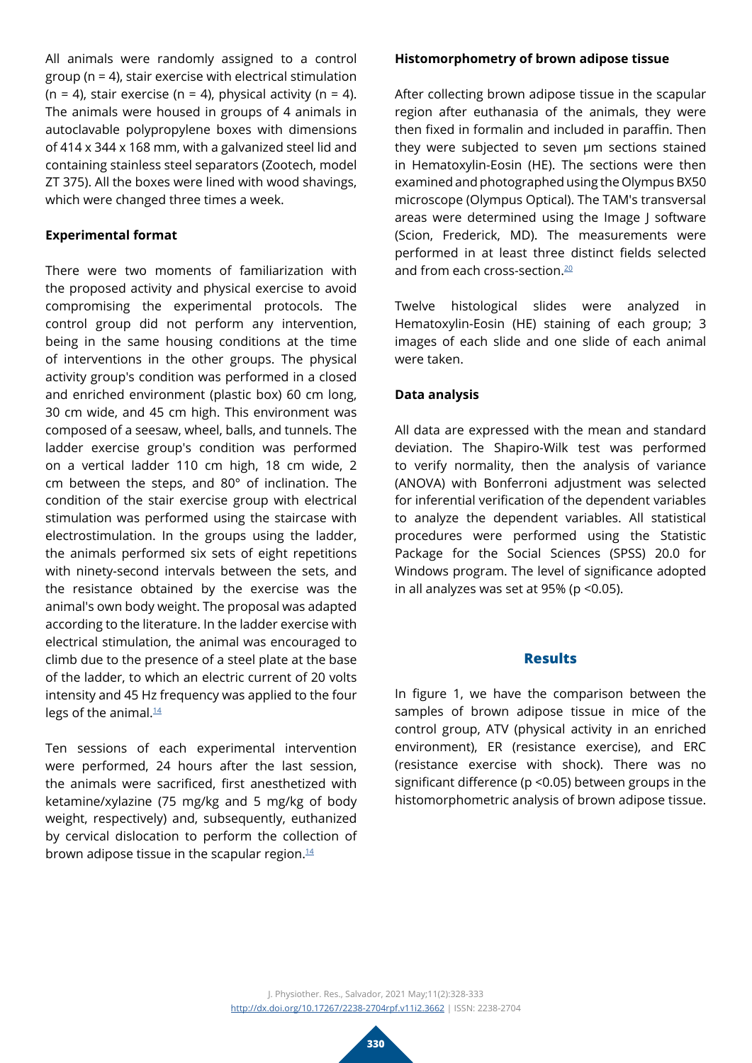All animals were randomly assigned to a control group (n = 4), stair exercise with electrical stimulation (n = 4), stair exercise (n = 4), physical activity (n = 4). The animals were housed in groups of 4 animals in autoclavable polypropylene boxes with dimensions of 414 x 344 x 168 mm, with a galvanized steel lid and containing stainless steel separators (Zootech, model ZT 375). All the boxes were lined with wood shavings, which were changed three times a week.

### **Experimental format**

There were two moments of familiarization with the proposed activity and physical exercise to avoid compromising the experimental protocols. The control group did not perform any intervention, being in the same housing conditions at the time of interventions in the other groups. The physical activity group's condition was performed in a closed and enriched environment (plastic box) 60 cm long, 30 cm wide, and 45 cm high. This environment was composed of a seesaw, wheel, balls, and tunnels. The ladder exercise group's condition was performed on a vertical ladder 110 cm high, 18 cm wide, 2 cm between the steps, and 80° of inclination. The condition of the stair exercise group with electrical stimulation was performed using the staircase with electrostimulation. In the groups using the ladder, the animals performed six sets of eight repetitions with ninety-second intervals between the sets, and the resistance obtained by the exercise was the animal's own body weight. The proposal was adapted according to the literature. In the ladder exercise with electrical stimulation, the animal was encouraged to climb due to the presence of a steel plate at the base of the ladder, to which an electric current of 20 volts intensity and 45 Hz frequency was applied to the four legs of the animal. $14$ 

Ten sessions of each experimental intervention were performed, 24 hours after the last session, the animals were sacrificed, first anesthetized with ketamine/xylazine (75 mg/kg and 5 mg/kg of body weight, respectively) and, subsequently, euthanized by cervical dislocation to perform the collection of brown adipose tissue in the scapular region. $14$ 

#### **Histomorphometry of brown adipose tissue**

After collecting brown adipose tissue in the scapular region after euthanasia of the animals, they were then fixed in formalin and included in paraffin. Then they were subjected to seven μm sections stained in Hematoxylin-Eosin (HE). The sections were then examined and photographed using the Olympus BX50 microscope (Olympus Optical). The TAM's transversal areas were determined using the Image J software (Scion, Frederick, MD). The measurements were performed in at least three distinct fields selected and from each cross-section.<sup>[20](#page-5-3)</sup>

Twelve histological slides were analyzed in Hematoxylin-Eosin (HE) staining of each group; 3 images of each slide and one slide of each animal were taken.

## **Data analysis**

All data are expressed with the mean and standard deviation. The Shapiro-Wilk test was performed to verify normality, then the analysis of variance (ANOVA) with Bonferroni adjustment was selected for inferential verification of the dependent variables to analyze the dependent variables. All statistical procedures were performed using the Statistic Package for the Social Sciences (SPSS) 20.0 for Windows program. The level of significance adopted in all analyzes was set at 95% (p <0.05).

### **Results**

In figure 1, we have the comparison between the samples of brown adipose tissue in mice of the control group, ATV (physical activity in an enriched environment), ER (resistance exercise), and ERC (resistance exercise with shock). There was no significant difference (p <0.05) between groups in the histomorphometric analysis of brown adipose tissue.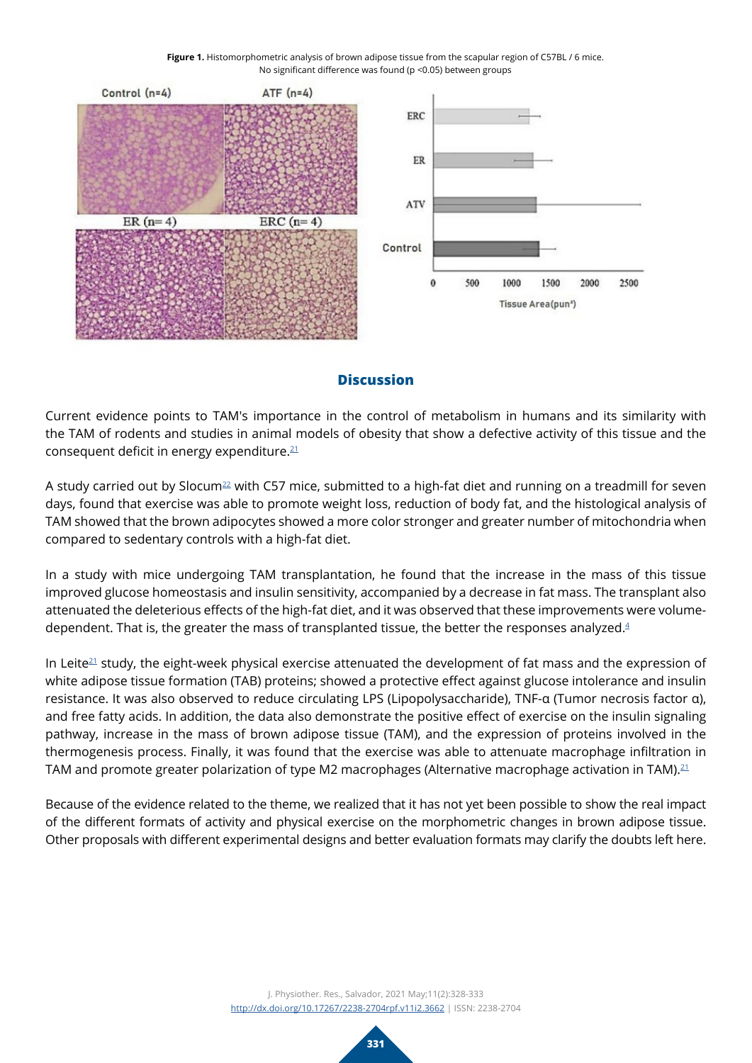**Figure 1.** Histomorphometric analysis of brown adipose tissue from the scapular region of C57BL / 6 mice. No significant difference was found (p <0.05) between groups



### **Discussion**

Current evidence points to TAM's importance in the control of metabolism in humans and its similarity with the TAM of rodents and studies in animal models of obesity that show a defective activity of this tissue and the consequent deficit in energy expenditure. $21$ 

A study carried out by Slocum<sup>22</sup> with C57 mice, submitted to a high-fat diet and running on a treadmill for seven days, found that exercise was able to promote weight loss, reduction of body fat, and the histological analysis of TAM showed that the brown adipocytes showed a more color stronger and greater number of mitochondria when compared to sedentary controls with a high-fat diet.

In a study with mice undergoing TAM transplantation, he found that the increase in the mass of this tissue improved glucose homeostasis and insulin sensitivity, accompanied by a decrease in fat mass. The transplant also attenuated the deleterious effects of the high-fat diet, and it was observed that these improvements were volumedependent. That is, the greater the mass of transplanted tissue, the better the responses analyzed.<sup>4</sup>

In Leite<sup>21</sup> study, the eight-week physical exercise attenuated the development of fat mass and the expression of white adipose tissue formation (TAB) proteins; showed a protective effect against glucose intolerance and insulin resistance. It was also observed to reduce circulating LPS (Lipopolysaccharide), TNF-α (Tumor necrosis factor α), and free fatty acids. In addition, the data also demonstrate the positive effect of exercise on the insulin signaling pathway, increase in the mass of brown adipose tissue (TAM), and the expression of proteins involved in the thermogenesis process. Finally, it was found that the exercise was able to attenuate macrophage infiltration in TAM and promote greater polarization of type M2 macrophages (Alternative macrophage activation in TAM).<sup>[21](#page-5-4)</sup>

Because of the evidence related to the theme, we realized that it has not yet been possible to show the real impact of the different formats of activity and physical exercise on the morphometric changes in brown adipose tissue. Other proposals with different experimental designs and better evaluation formats may clarify the doubts left here.

> J. Physiother. Res., Salvador, 2021 May;11(2):328-333 <http://dx.doi.org/10.17267/2238-2704rpf.v11i2.3662> | ISSN: 2238-2704

> > **331**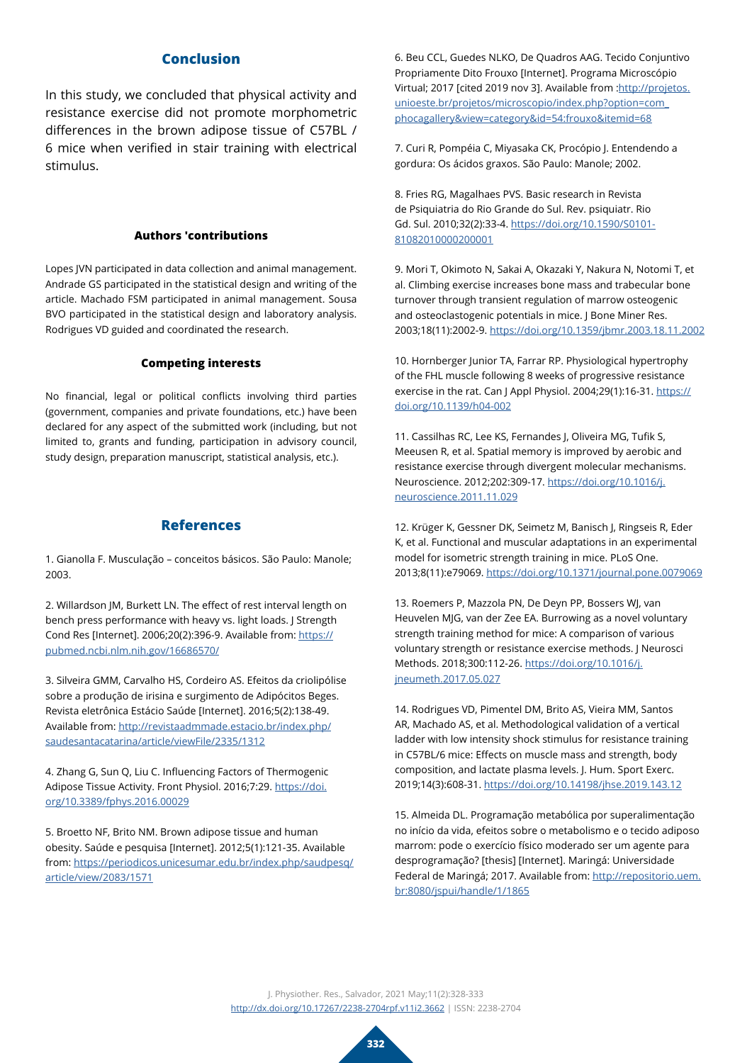## **Conclusion**

In this study, we concluded that physical activity and resistance exercise did not promote morphometric differences in the brown adipose tissue of C57BL / 6 mice when verified in stair training with electrical stimulus.

#### **Authors 'contributions**

Lopes JVN participated in data collection and animal management. Andrade GS participated in the statistical design and writing of the article. Machado FSM participated in animal management. Sousa BVO participated in the statistical design and laboratory analysis. Rodrigues VD guided and coordinated the research.

#### **Competing interests**

No financial, legal or political conflicts involving third parties (government, companies and private foundations, etc.) have been declared for any aspect of the submitted work (including, but not limited to, grants and funding, participation in advisory council, study design, preparation manuscript, statistical analysis, etc.).

#### **References**

<span id="page-4-0"></span>1. Gianolla F. Musculação – conceitos básicos. São Paulo: Manole; 2003.

<span id="page-4-1"></span>2. Willardson JM, Burkett LN. The effect of rest interval length on bench press performance with heavy vs. light loads. J Strength Cond Res [Internet]. 2006;20(2):396-9. Available from: [https://](https://pubmed.ncbi.nlm.nih.gov/16686570/) [pubmed.ncbi.nlm.nih.gov/16686570/](https://pubmed.ncbi.nlm.nih.gov/16686570/)

<span id="page-4-2"></span>3. Silveira GMM, Carvalho HS, Cordeiro AS. Efeitos da criolipólise sobre a produção de irisina e surgimento de Adipócitos Beges. Revista eletrônica Estácio Saúde [Internet]. 2016;5(2):138-49. Available from: [http://revistaadmmade.estacio.br/index.php/](http://revistaadmmade.estacio.br/index.php/saudesantacatarina/article/viewFile/2335/1312) [saudesantacatarina/article/viewFile/2335/1312](http://revistaadmmade.estacio.br/index.php/saudesantacatarina/article/viewFile/2335/1312)

<span id="page-4-3"></span>4. Zhang G, Sun Q, Liu C. Influencing Factors of Thermogenic Adipose Tissue Activity. Front Physiol. 2016;7:29. [https://doi.](https://doi.org/10.3389/fphys.2016.00029) [org/10.3389/fphys.2016.00029](https://doi.org/10.3389/fphys.2016.00029)

<span id="page-4-4"></span>5. Broetto NF, Brito NM. Brown adipose tissue and human obesity. Saúde e pesquisa [Internet]. 2012;5(1):121-35. Available from: [https://periodicos.unicesumar.edu.br/index.php/saudpesq/](https://periodicos.unicesumar.edu.br/index.php/saudpesq/article/view/2083/1571) [article/view/2083/1571](https://periodicos.unicesumar.edu.br/index.php/saudpesq/article/view/2083/1571)

<span id="page-4-5"></span>6. Beu CCL, Guedes NLKO, De Quadros AAG. Tecido Conjuntivo Propriamente Dito Frouxo [Internet]. Programa Microscópio Virtual; 2017 [cited 2019 nov 3]. Available from :[http://projetos.](http://projetos.unioeste.br/projetos/microscopio/index.php?option=com_phocagallery&view=category&id=54:frouxo&itemid=68) [unioeste.br/projetos/microscopio/index.php?option=com\\_](http://projetos.unioeste.br/projetos/microscopio/index.php?option=com_phocagallery&view=category&id=54:frouxo&itemid=68) [phocagallery&view=category&id=54:frouxo&itemid=68](http://projetos.unioeste.br/projetos/microscopio/index.php?option=com_phocagallery&view=category&id=54:frouxo&itemid=68)

<span id="page-4-6"></span>7. Curi R, Pompéia C, Miyasaka CK, Procópio J. Entendendo a gordura: Os ácidos graxos. São Paulo: Manole; 2002.

<span id="page-4-7"></span>8. Fries RG, Magalhaes PVS. Basic research in Revista de Psiquiatria do Rio Grande do Sul. Rev. psiquiatr. Rio Gd. Sul. 2010;32(2):33-4. [https://doi.org/10.1590/S0101-](https://doi.org/10.1590/S0101-81082010000200001) [81082010000200001](https://doi.org/10.1590/S0101-81082010000200001)

<span id="page-4-8"></span>9. Mori T, Okimoto N, Sakai A, Okazaki Y, Nakura N, Notomi T, et al. Climbing exercise increases bone mass and trabecular bone turnover through transient regulation of marrow osteogenic and osteoclastogenic potentials in mice. J Bone Miner Res. 2003;18(11):2002-9. <https://doi.org/10.1359/jbmr.2003.18.11.2002>

10. Hornberger Junior TA, Farrar RP. Physiological hypertrophy of the FHL muscle following 8 weeks of progressive resistance exercise in the rat. Can J Appl Physiol. 2004;29(1):16-31. [https://](https://doi.org/10.1139/h04-002) [doi.org/10.1139/h04-002](https://doi.org/10.1139/h04-002)

11. Cassilhas RC, Lee KS, Fernandes J, Oliveira MG, Tufik S, Meeusen R, et al. Spatial memory is improved by aerobic and resistance exercise through divergent molecular mechanisms. Neuroscience. 2012;202:309-17. [https://doi.org/10.1016/j.](https://doi.org/10.1016/j.neuroscience.2011.11.029) [neuroscience.2011.11.029](https://doi.org/10.1016/j.neuroscience.2011.11.029)

12. Krüger K, Gessner DK, Seimetz M, Banisch J, Ringseis R, Eder K, et al. Functional and muscular adaptations in an experimental model for isometric strength training in mice. PLoS One. 2013;8(11):e79069.<https://doi.org/10.1371/journal.pone.0079069>

13. Roemers P, Mazzola PN, De Deyn PP, Bossers WJ, van Heuvelen MJG, van der Zee EA. Burrowing as a novel voluntary strength training method for mice: A comparison of various voluntary strength or resistance exercise methods. J Neurosci Methods. 2018;300:112-26. [https://doi.org/10.1016/j.](https://doi.org/10.1016/j.jneumeth.2017.05.027) [jneumeth.2017.05.027](https://doi.org/10.1016/j.jneumeth.2017.05.027)

<span id="page-4-9"></span>14. Rodrigues VD, Pimentel DM, Brito AS, Vieira MM, Santos AR, Machado AS, et al. Methodological validation of a vertical ladder with low intensity shock stimulus for resistance training in C57BL/6 mice: Effects on muscle mass and strength, body composition, and lactate plasma levels. J. Hum. Sport Exerc. 2019;14(3):608-31.<https://doi.org/10.14198/jhse.2019.143.12>

<span id="page-4-10"></span>15. Almeida DL. Programação metabólica por superalimentação no início da vida, efeitos sobre o metabolismo e o tecido adiposo marrom: pode o exercício físico moderado ser um agente para desprogramação? [thesis] [Internet]. Maringá: Universidade Federal de Maringá; 2017. Available from: [http://repositorio.uem.](http://repositorio.uem.br:8080/jspui/handle/1/1865) [br:8080/jspui/handle/1/1865](http://repositorio.uem.br:8080/jspui/handle/1/1865)

J. Physiother. Res., Salvador, 2021 May;11(2):328-333 <http://dx.doi.org/10.17267/2238-2704rpf.v11i2.3662> | ISSN: 2238-2704

**332**